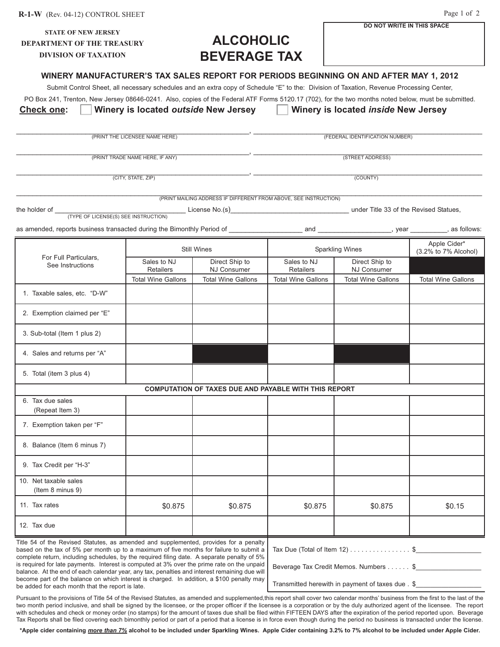| <b>STATE OF NEW JERSEY</b><br><b>DEPARTMENT OF THE TREASURY</b>                                                                                                                                                                                                                                                                                                                          | <b>ALCOHOLIC</b>                                    |                                                                  | DO NOT WRITE IN THIS SPACE                              |                                        |                           |  |
|------------------------------------------------------------------------------------------------------------------------------------------------------------------------------------------------------------------------------------------------------------------------------------------------------------------------------------------------------------------------------------------|-----------------------------------------------------|------------------------------------------------------------------|---------------------------------------------------------|----------------------------------------|---------------------------|--|
| <b>DIVISION OF TAXATION</b>                                                                                                                                                                                                                                                                                                                                                              |                                                     | <b>BEVERAGE TAX</b>                                              |                                                         |                                        |                           |  |
| WINERY MANUFACTURER'S TAX SALES REPORT FOR PERIODS BEGINNING ON AND AFTER MAY 1, 2012<br>Submit Control Sheet, all necessary schedules and an extra copy of Schedule "E" to the: Division of Taxation, Revenue Processing Center,<br>PO Box 241, Trenton, New Jersey 08646-0241. Also, copies of the Federal ATF Forms 5120.17 (702), for the two months noted below, must be submitted. |                                                     |                                                                  |                                                         |                                        |                           |  |
| <b>Check one:</b>                                                                                                                                                                                                                                                                                                                                                                        |                                                     | Winery is located outside New Jersey                             |                                                         | Winery is located inside New Jersey    |                           |  |
|                                                                                                                                                                                                                                                                                                                                                                                          |                                                     |                                                                  |                                                         |                                        |                           |  |
|                                                                                                                                                                                                                                                                                                                                                                                          | (PRINT THE LICENSEE NAME HERE)                      |                                                                  |                                                         | (FEDERAL IDENTIFICATION NUMBER)        |                           |  |
|                                                                                                                                                                                                                                                                                                                                                                                          | (PRINT TRADE NAME HERE, IF ANY)                     |                                                                  |                                                         | (STREET ADDRESS)                       |                           |  |
|                                                                                                                                                                                                                                                                                                                                                                                          |                                                     |                                                                  |                                                         |                                        |                           |  |
|                                                                                                                                                                                                                                                                                                                                                                                          | (CITY, STATE, ZIP)                                  |                                                                  | (COUNTY)                                                |                                        |                           |  |
|                                                                                                                                                                                                                                                                                                                                                                                          |                                                     | (PRINT MAILING ADDRESS IF DIFFERENT FROM ABOVE, SEE INSTRUCTION) |                                                         |                                        |                           |  |
| the holder of __<br>(TYPE OF LICENSE(S) SEE INSTRUCTION)                                                                                                                                                                                                                                                                                                                                 |                                                     |                                                                  |                                                         |                                        |                           |  |
| as amended, reports business transacted during the Bimonthly Period of <b>entity contain and and product and product</b> , year we are set of a stollows:                                                                                                                                                                                                                                |                                                     |                                                                  |                                                         |                                        |                           |  |
|                                                                                                                                                                                                                                                                                                                                                                                          |                                                     |                                                                  |                                                         |                                        | Apple Cider*              |  |
| For Full Particulars,                                                                                                                                                                                                                                                                                                                                                                    | <b>Still Wines</b><br>Sales to NJ<br>Direct Ship to |                                                                  | <b>Sparkling Wines</b><br>Direct Ship to<br>Sales to NJ |                                        | (3.2% to 7% Alcohol)      |  |
| See Instructions                                                                                                                                                                                                                                                                                                                                                                         | Retailers                                           | <b>NJ Consumer</b>                                               | <b>Retailers</b>                                        | <b>NJ Consumer</b>                     |                           |  |
|                                                                                                                                                                                                                                                                                                                                                                                          | <b>Total Wine Gallons</b>                           | <b>Total Wine Gallons</b>                                        | <b>Total Wine Gallons</b>                               | <b>Total Wine Gallons</b>              | <b>Total Wine Gallons</b> |  |
| 1. Taxable sales, etc. "D-W"                                                                                                                                                                                                                                                                                                                                                             |                                                     |                                                                  |                                                         |                                        |                           |  |
| 2. Exemption claimed per "E"                                                                                                                                                                                                                                                                                                                                                             |                                                     |                                                                  |                                                         |                                        |                           |  |
| 3. Sub-total (Item 1 plus 2)                                                                                                                                                                                                                                                                                                                                                             |                                                     |                                                                  |                                                         |                                        |                           |  |
| 4. Sales and returns per "A"                                                                                                                                                                                                                                                                                                                                                             |                                                     |                                                                  |                                                         |                                        |                           |  |
| 5. Total (item 3 plus 4)                                                                                                                                                                                                                                                                                                                                                                 |                                                     |                                                                  |                                                         |                                        |                           |  |
|                                                                                                                                                                                                                                                                                                                                                                                          |                                                     | COMPUTATION OF TAXES DUE AND PAYABLE WITH THIS REPORT            |                                                         |                                        |                           |  |
| 6. Tax due sales<br>(Repeat Item 3)                                                                                                                                                                                                                                                                                                                                                      |                                                     |                                                                  |                                                         |                                        |                           |  |
| 7. Exemption taken per "F"                                                                                                                                                                                                                                                                                                                                                               |                                                     |                                                                  |                                                         |                                        |                           |  |
|                                                                                                                                                                                                                                                                                                                                                                                          |                                                     |                                                                  |                                                         |                                        |                           |  |
| 8. Balance (Item 6 minus 7)                                                                                                                                                                                                                                                                                                                                                              |                                                     |                                                                  |                                                         |                                        |                           |  |
| 9. Tax Credit per "H-3"                                                                                                                                                                                                                                                                                                                                                                  |                                                     |                                                                  |                                                         |                                        |                           |  |
| 10. Net taxable sales<br>(Item 8 minus 9)                                                                                                                                                                                                                                                                                                                                                |                                                     |                                                                  |                                                         |                                        |                           |  |
|                                                                                                                                                                                                                                                                                                                                                                                          |                                                     |                                                                  |                                                         |                                        |                           |  |
| 11. Tax rates                                                                                                                                                                                                                                                                                                                                                                            | \$0.875                                             | \$0.875                                                          | \$0.875                                                 | \$0.875                                | \$0.15                    |  |
| 12. Tax due                                                                                                                                                                                                                                                                                                                                                                              |                                                     |                                                                  |                                                         |                                        |                           |  |
| Title 54 of the Revised Statutes, as amended and supplemented, provides for a penalty<br>based on the tax of 5% per month up to a maximum of five months for failure to submit a<br>complete return, including schedules, by the required filing date. A separate penalty of 5%                                                                                                          |                                                     |                                                                  |                                                         | Tax Due (Total of Item 12) $\ldots$ \$ |                           |  |
| is required for late payments. Interest is computed at 3% over the prime rate on the unpaid<br>balance. At the end of each calendar year, any tax, penalties and interest remaining due will                                                                                                                                                                                             |                                                     |                                                                  | Beverage Tax Credit Memos. Numbers \$                   |                                        |                           |  |
| become part of the balance on which interest is charged. In addition, a \$100 penalty may<br>be added for each month that the report is late.                                                                                                                                                                                                                                            | Transmitted herewith in payment of taxes due . \$   |                                                                  |                                                         |                                        |                           |  |
|                                                                                                                                                                                                                                                                                                                                                                                          |                                                     |                                                                  |                                                         |                                        |                           |  |

Page 1 of 2

**R-1-W** (Rev. 04-12) CONTROL SHEET

Pursuant to the provisions of Title 54 of the Revised Statutes, as amended and supplemented,this report shall cover two calendar months' business from the first to the last of the two month period inclusive, and shall be signed by the licensee, or the proper officer if the licensee is a corporation or by the duly authorized agent of the licensee. The report with schedules and check or money order (no stamps) for the amount of taxes due shall be filed within FIFTEEN DAYS after the expiration of the period reported upon. Beverage Tax Reports shall be filed covering each bimonthly period or part of a period that a license is in force even though during the period no business is transacted under the license.

**\*Apple cider containing** *more than 7%* **alcohol to be included under Sparkling Wines. Apple Cider containing 3.2% to 7% alcohol to be included under Apple Cider.**